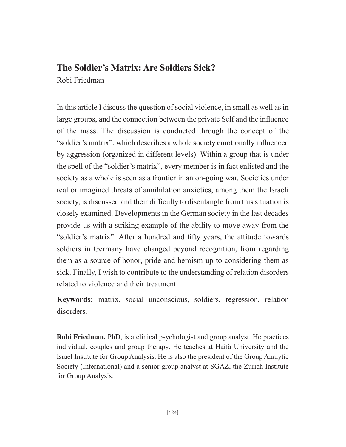#### The Soldier's Matrix: Are Soldiers Sick?

Robi Friedman

In this article I discuss the question of social violence, in small as well as in large groups, and the connection between the private Self and the influence of the mass. The discussion is conducted through the concept of the "soldier's matrix", which describes a whole society emotionally influenced by aggression (organized in different levels). Within a group that is under the spell of the "soldier's matrix", every member is in fact enlisted and the society as a whole is seen as a frontier in an on-going war. Societies under real or imagined threats of annihilation anxieties, among them the Israeli society, is discussed and their difficulty to disentangle from this situation is closely examined. Developments in the German society in the last decades provide us with a striking example of the ability to move away from the "soldier's matrix". After a hundred and fifty years, the attitude towards soldiers in Germany have changed beyond recognition, from regarding them as a source of honor, pride and heroism up to considering them as sick. Finally, I wish to contribute to the understanding of relation disorders related to violence and their treatment.

Keywords: matrix, social unconscious, soldiers, regression, relation disorders.

**Robi Friedman, PhD**, is a clinical psychologist and group analyst. He practices individual, couples and group therapy. He teaches at Haifa University and the Israel Institute for Group Analysis. He is also the president of the Group Analytic Society (International) and a senior group analyst at SGAZ, the Zurich Institute for Group Analysis.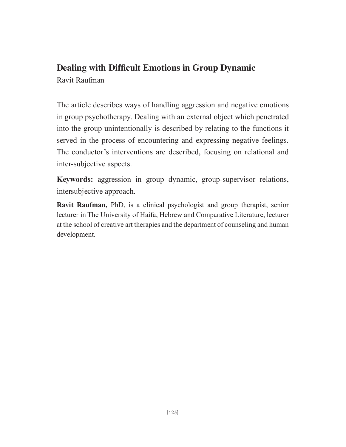#### Dealing with Difficult Emotions in Group Dynamic Ravit Raufman

The article describes ways of handling aggression and negative emotions in group psychotherapy. Dealing with an external object which penetrated into the group unintentionally is described by relating to the functions it served in the process of encountering and expressing negative feelings. The conductor's interventions are described, focusing on relational and inter-subjective aspects.

Keywords: aggression in group dynamic, group-supervisor relations, intersubjective approach.

Ravit Raufman, PhD, is a clinical psychologist and group therapist, senior lecturer in The University of Haifa, Hebrew and Comparative Literature, lecturer at the school of creative art therapies and the department of counseling and human development.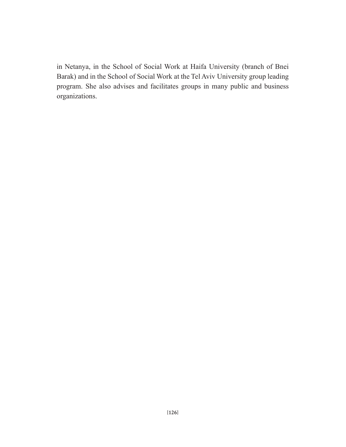in Netanya, in the School of Social Work at Haifa University (branch of Bnei Barak) and in the School of Social Work at the Tel Aviv University group leading program. She also advises and facilitates groups in many public and business organizations.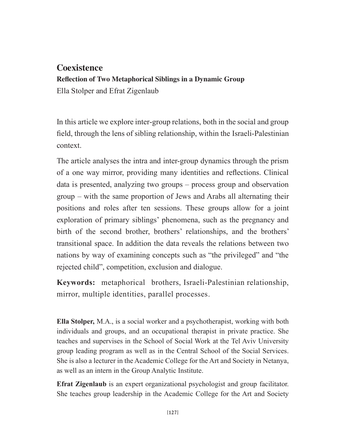#### **Coexistence**

**Reflection of Two Metaphorical Siblings in a Dynamic Group** 

Ella Stolper and Efrat Zigenlaub

In this article we explore inter-group relations, both in the social and group field, through the lens of sibling relationship, within the Israeli-Palestinian context.

The article analyses the intra and inter-group dynamics through the prism of a one way mirror, providing many identities and reflections. Clinical data is presented, analyzing two groups – process group and observation group – with the same proportion of Jews and Arabs all alternating their positions and roles after ten sessions. These groups allow for a joint exploration of primary siblings' phenomena, such as the pregnancy and birth of the second brother, brothers' relationships, and the brothers' transitional space. In addition the data reveals the relations between two nations by way of examining concepts such as "the privileged" and "the rejected child", competition, exclusion and dialogue.

Keywords: metaphorical brothers, Israeli-Palestinian relationship, mirror, multiple identities, parallel processes.

**Ella Stolper,** M.A., is a social worker and a psychotherapist, working with both individuals and groups, and an occupational therapist in private practice. She teaches and supervises in the School of Social Work at the Tel Aviv University group leading program as well as in the Central School of the Social Services. She is also a lecturer in the Academic College for the Art and Society in Netanya, as well as an intern in the Group Analytic Institute.

**Efrat Zigenlaub** is an expert organizational psychologist and group facilitator. She teaches group leadership in the Academic College for the Art and Society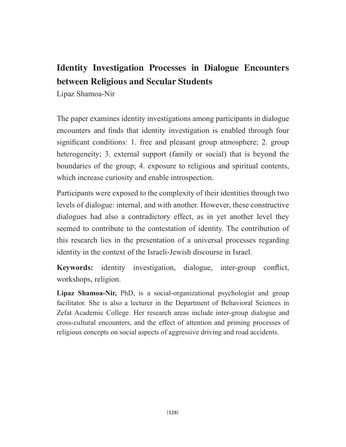## Identity Investigation Processes in Dialogue Encounters between Religious and Secular Students

Lipaz Shamoa-Nir

The paper examines identity investigations among participants in dialogue encounters and finds that identity investigation is enabled through four significant conditions: 1. free and pleasant group atmosphere; 2. group heterogeneity; 3. external support (family or social) that is beyond the boundaries of the group; 4. exposure to religious and spiritual contents, which increase curiosity and enable introspection.

Participants were exposed to the complexity of their identities through two levels of dialogue: internal, and with another. However, these constructive dialogues had also a contradictory effect, as in yet another level they seemed to contribute to the contestation of identity. The contribution of this research lies in the presentation of a universal processes regarding identity in the context of the Israeli-Jewish discourse in Israel.

Keywords: identity investigation, dialogue, inter-group conflict, workshops, religion.

Lipaz Shamoa-Nir, PhD, is a social-organizational psychologist and group facilitator. She is also a lecturer in the Department of Behavioral Sciences in Zefat Academic College. Her research areas include inter-group dialogue and cross-cultural encounters, and the effect of attention and priming processes of religious concepts on social aspects of aggressive driving and road accidents.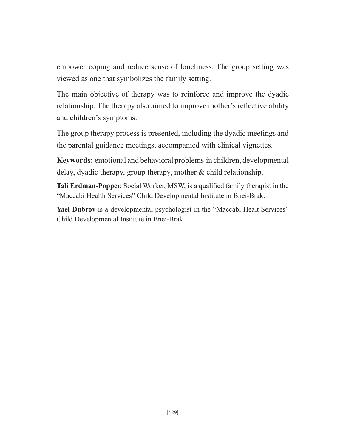empower coping and reduce sense of loneliness. The group setting was viewed as one that symbolizes the family setting.

The main objective of therapy was to reinforce and improve the dyadic relationship. The therapy also aimed to improve mother's reflective ability and children's symptoms.

The group therapy process is presented, including the dyadic meetings and the parental guidance meetings, accompanied with clinical vignettes.

Keywords: emotional and behavioral problems in children, developmental delay, dyadic therapy, group therapy, mother  $\&$  child relationship.

Tali Erdman-Popper, Social Worker, MSW, is a qualified family therapist in the "Maccabi Health Services" Child Developmental Institute in Bnei-Brak.

Yael Dubrov is a developmental psychologist in the "Maccabi Healt Services" Child Developmental Institute in Bnei-Brak.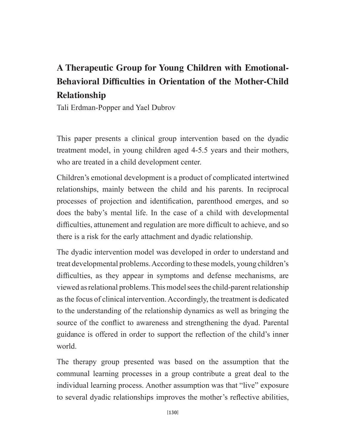## A Therapeutic Group for Young Children with Emotional-**Behavioral Difficulties in Orientation of the Mother-Child Relationship**

Tali Erdman-Popper and Yael Dubrov

This paper presents a clinical group intervention based on the dyadic treatment model, in young children aged 4-5.5 years and their mothers, who are treated in a child development center.

Children's emotional development is a product of complicated intertwined relationships, mainly between the child and his parents. In reciprocal processes of projection and identification, parenthood emerges, and so does the baby's mental life. In the case of a child with developmental difficulties, attunement and regulation are more difficult to achieve, and so there is a risk for the early attachment and dyadic relationship.

The dyadic intervention model was developed in order to understand and treat developmental problems. According to these models, young children's difficulties, as they appear in symptoms and defense mechanisms, are viewed as relational problems. This model sees the child-parent relationship as the focus of clinical intervention. Accordingly, the treatment is dedicated to the understanding of the relationship dynamics as well as bringing the source of the conflict to awareness and strengthening the dyad. Parental guidance is offered in order to support the reflection of the child's inner world.

The therapy group presented was based on the assumption that the communal learning processes in a group contribute a great deal to the individual learning process. Another assumption was that "live" exposure to several dyadic relationships improves the mother's reflective abilities,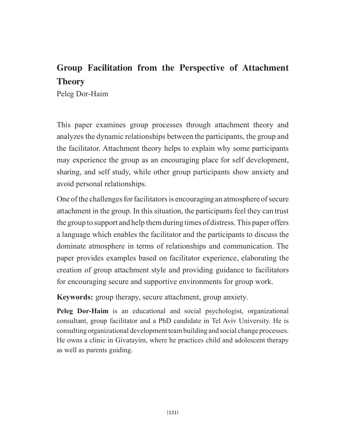### Group Facilitation from the Perspective of Attachment **Theory**

Peleg Dor-Haim

This paper examines group processes through attachment theory and analyzes the dynamic relationships between the participants, the group and the facilitator. Attachment theory helps to explain why some participants may experience the group as an encouraging place for self development, sharing, and self study, while other group participants show anxiety and avoid personal relationships.

One of the challenges for facilitators is encouraging an atmosphere of secure attachment in the group. In this situation, the participants feel they can trust the group to support and help them during times of distress. This paper offers a language which enables the facilitator and the participants to discuss the dominate atmosphere in terms of relationships and communication. The paper provides examples based on facilitator experience, elaborating the creation of group attachment style and providing guidance to facilitators for encouraging secure and supportive environments for group work.

Keywords: group therapy, secure attachment, group anxiety.

Peleg Dor-Haim is an educational and social psychologist, organizational consultant, group facilitator and a PhD candidate in Tel Aviv University. He is consulting organizational development team building and social change processes. He owns a clinic in Givatayim, where he practices child and adolescent therapy as well as parents guiding.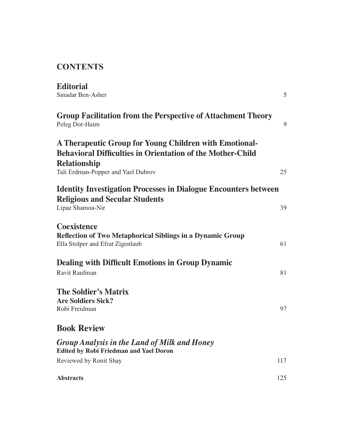### **CONTENTS**

| <b>Editorial</b>                                                                                                                    |     |
|-------------------------------------------------------------------------------------------------------------------------------------|-----|
| Smadar Ben-Asher                                                                                                                    | 5   |
| <b>Group Facilitation from the Perspective of Attachment Theory</b><br>Peleg Dor-Haim                                               | 9   |
| A Therapeutic Group for Young Children with Emotional-<br><b>Behavioral Difficulties in Orientation of the Mother-Child</b>         |     |
| <b>Relationship</b><br>Tali Erdman-Popper and Yael Dubrov                                                                           | 25  |
| <b>Identity Investigation Processes in Dialogue Encounters between</b><br><b>Religious and Secular Students</b><br>Lipaz Shamoa-Nir | 39  |
| <b>Coexistence</b><br><b>Reflection of Two Metaphorical Siblings in a Dynamic Group</b><br>Ella Stolper and Efrat Zigenlaub         | 61  |
| <b>Dealing with Difficult Emotions in Group Dynamic</b><br>Ravit Raufman                                                            | 81  |
| <b>The Soldier's Matrix</b><br><b>Are Soldiers Sick?</b><br>Robi Freidman                                                           | 97  |
| <b>Book Review</b>                                                                                                                  |     |
| <b>Group Analysis in the Land of Milk and Honey</b><br><b>Edited by Robi Friedman and Yael Doron</b>                                |     |
| Reviewed by Ronit Shay                                                                                                              | 117 |
| <b>Abstracts</b>                                                                                                                    | 125 |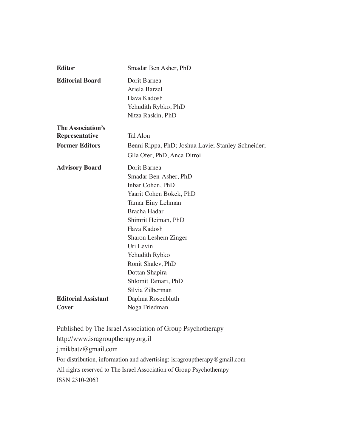| <b>Editor</b>                       | Smadar Ben Asher, PhD                                                                                                                                                                                |
|-------------------------------------|------------------------------------------------------------------------------------------------------------------------------------------------------------------------------------------------------|
| <b>Editorial Board</b>              | Dorit Barnea<br>Ariela Barzel<br>Hava Kadosh<br>Yehudith Rybko, PhD<br>Nitza Raskin, PhD                                                                                                             |
| The Association's                   |                                                                                                                                                                                                      |
| <b>Representative</b>               | <b>Tal Alon</b>                                                                                                                                                                                      |
| <b>Former Editors</b>               | Benni Rippa, PhD; Joshua Lavie; Stanley Schneider;<br>Gila Ofer, PhD, Anca Ditroi                                                                                                                    |
| <b>Advisory Board</b>               | Dorit Barnea<br>Smadar Ben-Asher, PhD<br>Inbar Cohen, PhD<br>Yaarit Cohen Bokek, PhD<br>Tamar Einy Lehman<br>Bracha Hadar<br>Shimrit Heiman, PhD<br>Hava Kadosh<br>Sharon Leshem Zinger<br>Uri Levin |
|                                     | Yehudith Rybko<br>Ronit Shalev, PhD<br>Dottan Shapira<br>Shlomit Tamari, PhD<br>Silvia Zilberman                                                                                                     |
| <b>Editorial Assistant</b><br>Cover | Daphna Rosenbluth<br>Noga Friedman                                                                                                                                                                   |

Published by The Israel Association of Group Psychotherapy http://www.isragrouptherapy.org.il j.mikbatz@gmail.com For distribution, information and advertising: isragrouptherapy@gmail.com All rights reserved to The Israel Association of Group Psychotherapy ISSN 2310-2063